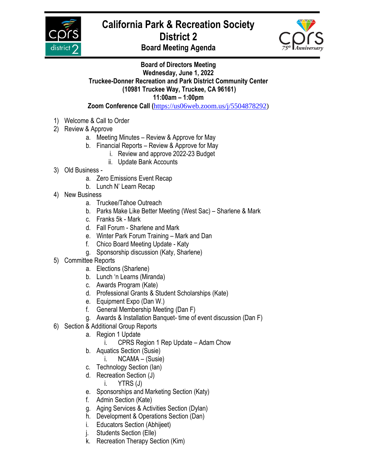

## **California Park & Recreation Society District 2**



**Board Meeting Agenda**

## **Board of Directors Meeting Wednesday, June 1, 2022 Truckee-Donner Recreation and Park District Community Center (10981 Truckee Way, Truckee, CA 96161) 11:00am – 1:00pm Zoom Conference Call (**[https://us06web.zoom.us/j/5504878292\)](https://us06web.zoom.us/j/5504878292)

- 1) Welcome & Call to Order
- 2) Review & Approve
	- a. Meeting Minutes Review & Approve for May
	- b. Financial Reports Review & Approve for May
		- i. Review and approve 2022-23 Budget
		- ii. Update Bank Accounts
- 3) Old Business
	- a. Zero Emissions Event Recap
	- b. Lunch N' Learn Recap
- 4) New Business
	- a. Truckee/Tahoe Outreach
	- b. Parks Make Like Better Meeting (West Sac) Sharlene & Mark
	- c. Franks 5k Mark
	- d. Fall Forum Sharlene and Mark
	- e. Winter Park Forum Training Mark and Dan
	- f. Chico Board Meeting Update Katy
	- g. Sponsorship discussion (Katy, Sharlene)
- 5) Committee Reports
	- a. Elections (Sharlene)
	- b. Lunch 'n Learns (Miranda)
	- c. Awards Program (Kate)
	- d. Professional Grants & Student Scholarships (Kate)
	- e. Equipment Expo (Dan W.)
	- f. General Membership Meeting (Dan F)
	- g. Awards & Installation Banquet- time of event discussion (Dan F)
- 6) Section & Additional Group Reports
	- a. Region 1 Update
		- i. CPRS Region 1 Rep Update Adam Chow
	- b. Aquatics Section (Susie)
		- i. NCAMA (Susie)
	- c. Technology Section (Ian)
	- d. Recreation Section (J)

i. YTRS (J)

- e. Sponsorships and Marketing Section (Katy)
- f. Admin Section (Kate)
- g. Aging Services & Activities Section (Dylan)
- h. Development & Operations Section (Dan)
- i. Educators Section (Abhijeet)
- j. Students Section (Elle)
- k. Recreation Therapy Section (Kim)